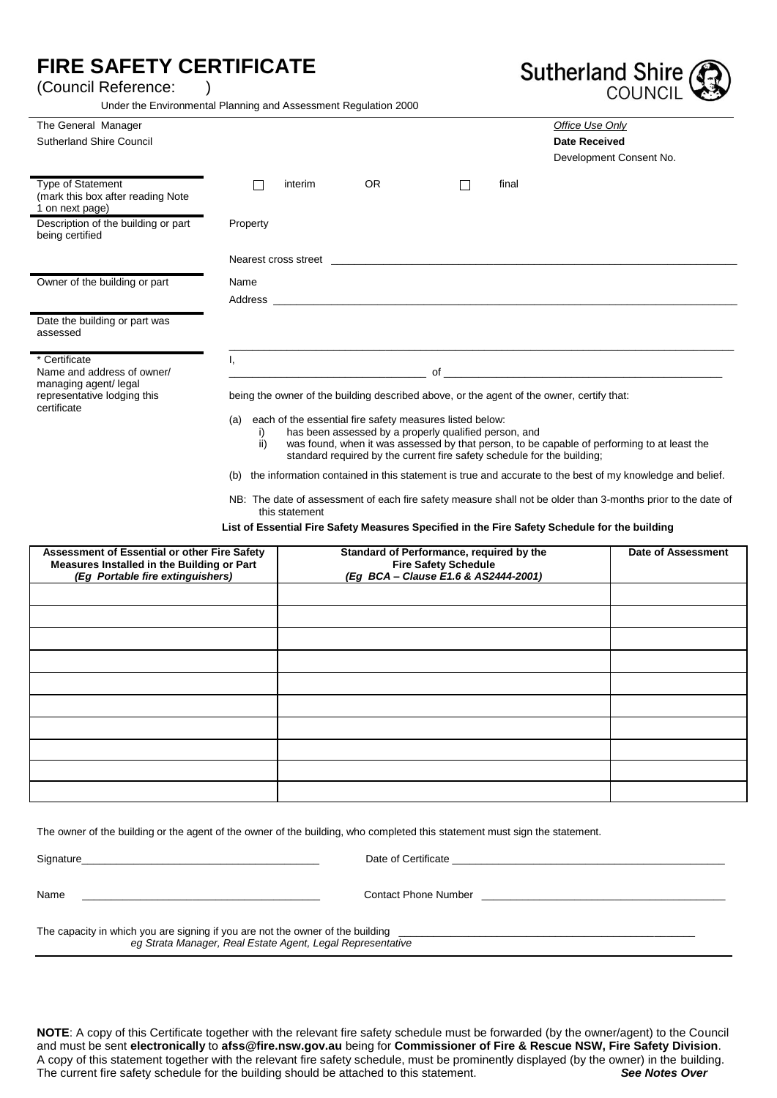# **FIRE SAFETY CERTIFICATE**

(Council Reference: )

Under the Environmental Planning and Assessment Regulation 2000



| The General Manager<br><b>Sutherland Shire Council</b>                                                                         |                                                                                                                                                                                                                                                                                                                                   |                                                                                                                 |                                                                                               |    |       | Office Use Only<br><b>Date Received</b> | Development Consent No.                                                                                                                                                                                                      |
|--------------------------------------------------------------------------------------------------------------------------------|-----------------------------------------------------------------------------------------------------------------------------------------------------------------------------------------------------------------------------------------------------------------------------------------------------------------------------------|-----------------------------------------------------------------------------------------------------------------|-----------------------------------------------------------------------------------------------|----|-------|-----------------------------------------|------------------------------------------------------------------------------------------------------------------------------------------------------------------------------------------------------------------------------|
| Type of Statement<br>(mark this box after reading Note<br>1 on next page)                                                      | $\Box$                                                                                                                                                                                                                                                                                                                            | interim                                                                                                         | <b>OR</b>                                                                                     | LΙ | final |                                         |                                                                                                                                                                                                                              |
| Description of the building or part<br>being certified                                                                         | Property                                                                                                                                                                                                                                                                                                                          |                                                                                                                 |                                                                                               |    |       |                                         |                                                                                                                                                                                                                              |
|                                                                                                                                |                                                                                                                                                                                                                                                                                                                                   |                                                                                                                 |                                                                                               |    |       |                                         |                                                                                                                                                                                                                              |
| Owner of the building or part                                                                                                  | Name                                                                                                                                                                                                                                                                                                                              |                                                                                                                 |                                                                                               |    |       |                                         |                                                                                                                                                                                                                              |
| Date the building or part was<br>assessed                                                                                      |                                                                                                                                                                                                                                                                                                                                   |                                                                                                                 |                                                                                               |    |       |                                         |                                                                                                                                                                                                                              |
| * Certificate<br>Name and address of owner/<br>managing agent/ legal<br>representative lodging this                            | Ι,<br>of the contract of the contract of the contract of the contract of the contract of the contract of the contract of the contract of the contract of the contract of the contract of the contract of the contract of the contrac<br>being the owner of the building described above, or the agent of the owner, certify that: |                                                                                                                 |                                                                                               |    |       |                                         |                                                                                                                                                                                                                              |
| certificate                                                                                                                    | each of the essential fire safety measures listed below:<br>(a)<br>has been assessed by a properly qualified person, and<br>i)<br>was found, when it was assessed by that person, to be capable of performing to at least the<br>ii)<br>standard required by the current fire safety schedule for the building;                   |                                                                                                                 |                                                                                               |    |       |                                         |                                                                                                                                                                                                                              |
|                                                                                                                                |                                                                                                                                                                                                                                                                                                                                   |                                                                                                                 |                                                                                               |    |       |                                         | (b) the information contained in this statement is true and accurate to the best of my knowledge and belief.<br>NB: The date of assessment of each fire safety measure shall not be older than 3-months prior to the date of |
|                                                                                                                                |                                                                                                                                                                                                                                                                                                                                   | this statement                                                                                                  | List of Essential Fire Safety Measures Specified in the Fire Safety Schedule for the building |    |       |                                         |                                                                                                                                                                                                                              |
| Assessment of Essential or other Fire Safety<br>Measures Installed in the Building or Part<br>(Eg Portable fire extinguishers) |                                                                                                                                                                                                                                                                                                                                   | Standard of Performance, required by the<br><b>Fire Safety Schedule</b><br>(Eg BCA - Clause E1.6 & AS2444-2001) |                                                                                               |    |       |                                         | Date of Assessment                                                                                                                                                                                                           |
|                                                                                                                                |                                                                                                                                                                                                                                                                                                                                   |                                                                                                                 |                                                                                               |    |       |                                         |                                                                                                                                                                                                                              |
|                                                                                                                                |                                                                                                                                                                                                                                                                                                                                   |                                                                                                                 |                                                                                               |    |       |                                         |                                                                                                                                                                                                                              |
|                                                                                                                                |                                                                                                                                                                                                                                                                                                                                   |                                                                                                                 |                                                                                               |    |       |                                         |                                                                                                                                                                                                                              |
|                                                                                                                                |                                                                                                                                                                                                                                                                                                                                   |                                                                                                                 |                                                                                               |    |       |                                         |                                                                                                                                                                                                                              |
|                                                                                                                                |                                                                                                                                                                                                                                                                                                                                   |                                                                                                                 |                                                                                               |    |       |                                         |                                                                                                                                                                                                                              |
|                                                                                                                                |                                                                                                                                                                                                                                                                                                                                   |                                                                                                                 |                                                                                               |    |       |                                         |                                                                                                                                                                                                                              |

The owner of the building or the agent of the owner of the building, who completed this statement must sign the statement.

| Signature                                                                      | Date of Certificate                              |
|--------------------------------------------------------------------------------|--------------------------------------------------|
|                                                                                |                                                  |
| Name                                                                           | Contact Phone Number <b>Contact Phone Number</b> |
| The capacity in which you are signing if you are not the owner of the building |                                                  |
| eg Strata Manager, Real Estate Agent, Legal Representative                     |                                                  |

**NOTE**: A copy of this Certificate together with the relevant fire safety schedule must be forwarded (by the owner/agent) to the Council and must be sent **electronically** to **afss@fire.nsw.gov.au** being for **Commissioner of Fire & Rescue NSW, Fire Safety Division**. A copy of this statement together with the relevant fire safety schedule, must be prominently displayed (by the owner) in the building.<br>The current fire safety schedule for the building should be attached to this statement The current fire safety schedule for the building should be attached to this statement.